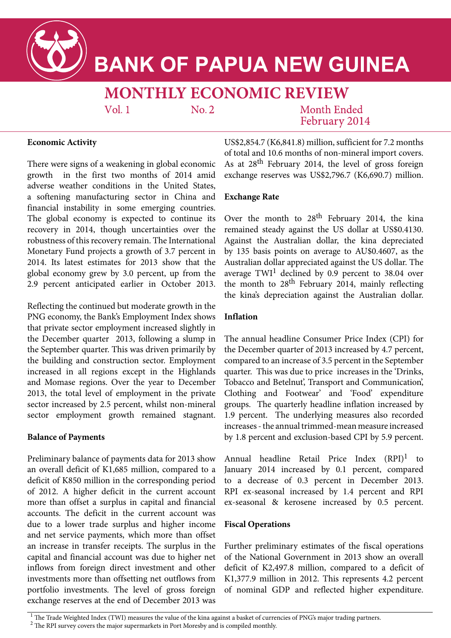

# **BANK OF PAPUA NEW GUINEA**

# **MONTHLY ECONOMIC REVIEW**

 $Vol.1$ 

 $No. 2$ 

Month Ended February 2014

#### **Economic Activity**

There were signs of a weakening in global economic growth in the first two months of 2014 amid adverse weather conditions in the United States, a softening manufacturing sector in China and financial instability in some emerging countries. The global economy is expected to continue its recovery in 2014, though uncertainties over the robustness of this recovery remain. The International Monetary Fund projects a growth of 3.7 percent in 2014. Its latest estimates for 2013 show that the global economy grew by 3.0 percent, up from the 2.9 percent anticipated earlier in October 2013.

Reflecting the continued but moderate growth in the PNG economy, the Bank's Employment Index shows that private sector employment increased slightly in the December quarter 2013, following a slump in the September quarter. This was driven primarily by the building and construction sector. Employment increased in all regions except in the Highlands and Momase regions. Over the year to December 2013, the total level of employment in the private sector increased by 2.5 percent, whilst non-mineral sector employment growth remained stagnant.

## **Balance of Payments**

Preliminary balance of payments data for 2013 show an overall deficit of K1,685 million, compared to a deficit of K850 million in the corresponding period of 2012. A higher deficit in the current account more than offset a surplus in capital and financial accounts. The deficit in the current account was due to a lower trade surplus and higher income and net service payments, which more than offset an increase in transfer receipts. The surplus in the capital and financial account was due to higher net inflows from foreign direct investment and other investments more than offsetting net outflows from portfolio investments. The level of gross foreign exchange reserves at the end of December 2013 was US\$2,854.7 (K6,841.8) million, sufficient for 7.2 months of total and 10.6 months of non-mineral import covers. As at 28th February 2014, the level of gross foreign exchange reserves was US\$2,796.7 (K6,690.7) million.

#### **Exchange Rate**

Over the month to  $28<sup>th</sup>$  February 2014, the kina remained steady against the US dollar at US\$0.4130. Against the Australian dollar, the kina depreciated by 135 basis points on average to AU\$0.4607, as the Australian dollar appreciated against the US dollar. The average  $TWI<sup>1</sup>$  declined by 0.9 percent to 38.04 over the month to 28th February 2014, mainly reflecting the kina's depreciation against the Australian dollar.

#### **Inflation**

The annual headline Consumer Price Index (CPI) for the December quarter of 2013 increased by 4.7 percent, compared to an increase of 3.5 percent in the September quarter. This was due to price increases in the 'Drinks, Tobacco and Betelnut', Transport and Communication', Clothing and Footwear' and 'Food' expenditure groups. The quarterly headline inflation increased by 1.9 percent. The underlying measures also recorded increases - the annual trimmed-mean measure increased by 1.8 percent and exclusion-based CPI by 5.9 percent.

Annual headline Retail Price Index  $(RPI)^1$  to January 2014 increased by 0.1 percent, compared to a decrease of 0.3 percent in December 2013. RPI ex-seasonal increased by 1.4 percent and RPI ex-seasonal & kerosene increased by 0.5 percent.

## **Fiscal Operations**

Further preliminary estimates of the fiscal operations of the National Government in 2013 show an overall deficit of K2,497.8 million, compared to a deficit of K1,377.9 million in 2012. This represents 4.2 percent of nominal GDP and reflected higher expenditure.

The Trade Weighted Index (TWI) measures the value of the kina against a basket of currencies of PNG's major trading partners.

<sup>2</sup> The RPI survey covers the major supermarkets in Port Moresby and is compiled monthly. T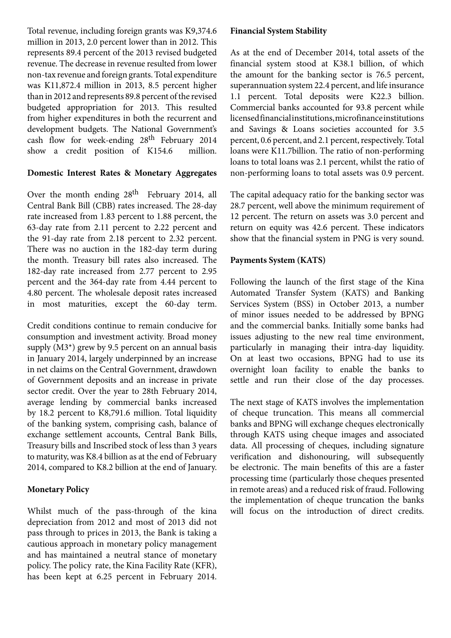Total revenue, including foreign grants was K9,374.6 million in 2013, 2.0 percent lower than in 2012. This represents 89.4 percent of the 2013 revised budgeted revenue. The decrease in revenue resulted from lower non-tax revenue and foreign grants. Total expenditure was K11,872.4 million in 2013, 8.5 percent higher than in 2012 and represents 89.8 percent of the revised budgeted appropriation for 2013. This resulted from higher expenditures in both the recurrent and development budgets. The National Government's cash flow for week-ending 28th February 2014 show a credit position of K154.6 million.

#### **Domestic Interest Rates & Monetary Aggregates**

Over the month ending  $28<sup>th</sup>$  February 2014, all Central Bank Bill (CBB) rates increased. The 28-day rate increased from 1.83 percent to 1.88 percent, the 63-day rate from 2.11 percent to 2.22 percent and the 91-day rate from 2.18 percent to 2.32 percent. There was no auction in the 182-day term during the month. Treasury bill rates also increased. The 182-day rate increased from 2.77 percent to 2.95 percent and the 364-day rate from 4.44 percent to 4.80 percent. The wholesale deposit rates increased in most maturities, except the 60-day term.

Credit conditions continue to remain conducive for consumption and investment activity. Broad money supply (M3\*) grew by 9.5 percent on an annual basis in January 2014, largely underpinned by an increase in net claims on the Central Government, drawdown of Government deposits and an increase in private sector credit. Over the year to 28th February 2014, average lending by commercial banks increased by 18.2 percent to K8,791.6 million. Total liquidity of the banking system, comprising cash, balance of exchange settlement accounts, Central Bank Bills, Treasury bills and Inscribed stock of less than 3 years to maturity, was K8.4 billion as at the end of February 2014, compared to K8.2 billion at the end of January.

## **Monetary Policy**

Whilst much of the pass-through of the kina depreciation from 2012 and most of 2013 did not pass through to prices in 2013, the Bank is taking a cautious approach in monetary policy management and has maintained a neutral stance of monetary policy. The policy rate, the Kina Facility Rate (KFR), has been kept at 6.25 percent in February 2014.

#### **Financial System Stability**

As at the end of December 2014, total assets of the financial system stood at K38.1 billion, of which the amount for the banking sector is 76.5 percent, superannuation system 22.4 percent, and life insurance 1.1 percent. Total deposits were K22.3 billion. Commercial banks accounted for 93.8 percent while licensed financial institutions, microfinance institutions and Savings & Loans societies accounted for 3.5 percent, 0.6 percent, and 2.1 percent, respectively. Total loans were K11.7billion. The ratio of non-performing loans to total loans was 2.1 percent, whilst the ratio of non-performing loans to total assets was 0.9 percent.

The capital adequacy ratio for the banking sector was 28.7 percent, well above the minimum requirement of 12 percent. The return on assets was 3.0 percent and return on equity was 42.6 percent. These indicators show that the financial system in PNG is very sound.

## **Payments System (KATS)**

Following the launch of the first stage of the Kina Automated Transfer System (KATS) and Banking Services System (BSS) in October 2013, a number of minor issues needed to be addressed by BPNG and the commercial banks. Initially some banks had issues adjusting to the new real time environment, particularly in managing their intra-day liquidity. On at least two occasions, BPNG had to use its overnight loan facility to enable the banks to settle and run their close of the day processes.

The next stage of KATS involves the implementation of cheque truncation. This means all commercial banks and BPNG will exchange cheques electronically through KATS using cheque images and associated data. All processing of cheques, including signature verification and dishonouring, will subsequently be electronic. The main benefits of this are a faster processing time (particularly those cheques presented in remote areas) and a reduced risk of fraud. Following the implementation of cheque truncation the banks will focus on the introduction of direct credits.